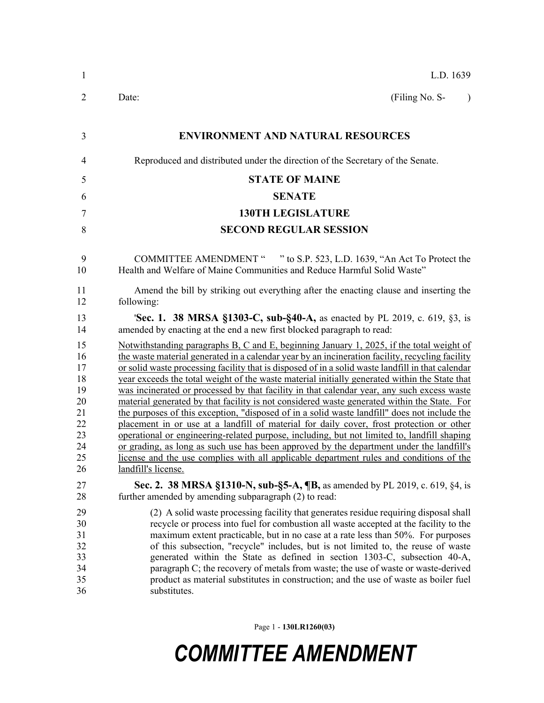| $\mathbf{1}$                                                         | L.D. 1639                                                                                                                                                                                                                                                                                                                                                                                                                                                                                                                                                                                                                                                                                                                                                                                                                                                                                                                                                                                                                                                                                                |  |
|----------------------------------------------------------------------|----------------------------------------------------------------------------------------------------------------------------------------------------------------------------------------------------------------------------------------------------------------------------------------------------------------------------------------------------------------------------------------------------------------------------------------------------------------------------------------------------------------------------------------------------------------------------------------------------------------------------------------------------------------------------------------------------------------------------------------------------------------------------------------------------------------------------------------------------------------------------------------------------------------------------------------------------------------------------------------------------------------------------------------------------------------------------------------------------------|--|
| $\overline{2}$                                                       | Date:<br>(Filing No. S-<br>$\lambda$                                                                                                                                                                                                                                                                                                                                                                                                                                                                                                                                                                                                                                                                                                                                                                                                                                                                                                                                                                                                                                                                     |  |
| 3                                                                    | <b>ENVIRONMENT AND NATURAL RESOURCES</b>                                                                                                                                                                                                                                                                                                                                                                                                                                                                                                                                                                                                                                                                                                                                                                                                                                                                                                                                                                                                                                                                 |  |
| 4                                                                    | Reproduced and distributed under the direction of the Secretary of the Senate.                                                                                                                                                                                                                                                                                                                                                                                                                                                                                                                                                                                                                                                                                                                                                                                                                                                                                                                                                                                                                           |  |
| 5                                                                    | <b>STATE OF MAINE</b>                                                                                                                                                                                                                                                                                                                                                                                                                                                                                                                                                                                                                                                                                                                                                                                                                                                                                                                                                                                                                                                                                    |  |
| 6                                                                    | <b>SENATE</b>                                                                                                                                                                                                                                                                                                                                                                                                                                                                                                                                                                                                                                                                                                                                                                                                                                                                                                                                                                                                                                                                                            |  |
| 7                                                                    | <b>130TH LEGISLATURE</b>                                                                                                                                                                                                                                                                                                                                                                                                                                                                                                                                                                                                                                                                                                                                                                                                                                                                                                                                                                                                                                                                                 |  |
| 8                                                                    | <b>SECOND REGULAR SESSION</b>                                                                                                                                                                                                                                                                                                                                                                                                                                                                                                                                                                                                                                                                                                                                                                                                                                                                                                                                                                                                                                                                            |  |
| 9<br>10                                                              | COMMITTEE AMENDMENT " " to S.P. 523, L.D. 1639, "An Act To Protect the<br>Health and Welfare of Maine Communities and Reduce Harmful Solid Waste"                                                                                                                                                                                                                                                                                                                                                                                                                                                                                                                                                                                                                                                                                                                                                                                                                                                                                                                                                        |  |
| 11<br>12                                                             | Amend the bill by striking out everything after the enacting clause and inserting the<br>following:                                                                                                                                                                                                                                                                                                                                                                                                                                                                                                                                                                                                                                                                                                                                                                                                                                                                                                                                                                                                      |  |
| 13<br>14                                                             | <b>Sec. 1. 38 MRSA §1303-C, sub-§40-A, as enacted by PL 2019, c. 619, §3, is</b><br>amended by enacting at the end a new first blocked paragraph to read:                                                                                                                                                                                                                                                                                                                                                                                                                                                                                                                                                                                                                                                                                                                                                                                                                                                                                                                                                |  |
| 15<br>16<br>17<br>18<br>19<br>20<br>21<br>22<br>23<br>24<br>25<br>26 | Notwithstanding paragraphs B, C and E, beginning January 1, 2025, if the total weight of<br>the waste material generated in a calendar year by an incineration facility, recycling facility<br>or solid waste processing facility that is disposed of in a solid waste landfill in that calendar<br>year exceeds the total weight of the waste material initially generated within the State that<br>was incinerated or processed by that facility in that calendar year, any such excess waster<br>material generated by that facility is not considered waste generated within the State. For<br>the purposes of this exception, "disposed of in a solid waste landfill" does not include the<br>placement in or use at a landfill of material for daily cover, frost protection or other<br>operational or engineering-related purpose, including, but not limited to, landfill shaping<br>or grading, as long as such use has been approved by the department under the landfill's<br>license and the use complies with all applicable department rules and conditions of the<br>landfill's license. |  |
| 27<br>28                                                             | Sec. 2. 38 MRSA §1310-N, sub-§5-A, ¶B, as amended by PL 2019, c. 619, §4, is<br>further amended by amending subparagraph (2) to read:                                                                                                                                                                                                                                                                                                                                                                                                                                                                                                                                                                                                                                                                                                                                                                                                                                                                                                                                                                    |  |
| 29<br>30<br>31<br>32<br>33<br>34<br>35<br>36                         | (2) A solid waste processing facility that generates residue requiring disposal shall<br>recycle or process into fuel for combustion all waste accepted at the facility to the<br>maximum extent practicable, but in no case at a rate less than 50%. For purposes<br>of this subsection, "recycle" includes, but is not limited to, the reuse of waste<br>generated within the State as defined in section 1303-C, subsection 40-A,<br>paragraph C; the recovery of metals from waste; the use of waste or waste-derived<br>product as material substitutes in construction; and the use of waste as boiler fuel<br>substitutes.                                                                                                                                                                                                                                                                                                                                                                                                                                                                        |  |

Page 1 - **130LR1260(03)**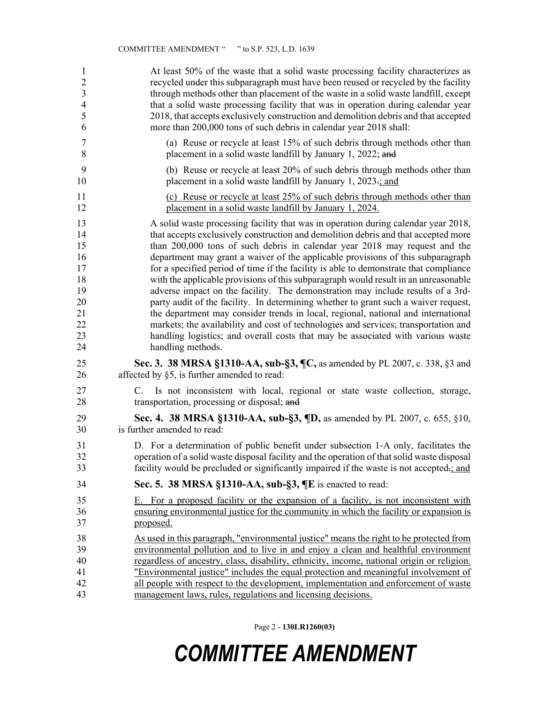1 At least 50% of the waste that a solid waste processing facility characterizes as 2 recycled under this subparagraph must have been reused or recycled by the facility 3 through methods other than placement of the waste in a solid waste landfill, except 4 that a solid waste processing facility that was in operation during calendar year 5 2018, that accepts exclusively construction and demolition debris and that accepted 6 more than 200,000 tons of such debris in calendar year 2018 shall: 7 (a) Reuse or recycle at least 15% of such debris through methods other than 8 blacement in a solid waste landfill by January 1, 2022; and 9 (b) Reuse or recycle at least 20% of such debris through methods other than 10 placement in a solid waste landfill by January 1, 2023.; and 11 (c) Reuse or recycle at least 25% of such debris through methods other than 12 placement in a solid waste landfill by January 1, 2024. 13 A solid waste processing facility that was in operation during calendar year 2018, 14 that accepts exclusively construction and demolition debris and that accepted more 15 than 200,000 tons of such debris in calendar year 2018 may request and the 16 department may grant a waiver of the applicable provisions of this subparagraph 17 for a specified period of time if the facility is able to demonstrate that compliance 18 with the applicable provisions of this subparagraph would result in an unreasonable 19 adverse impact on the facility. The demonstration may include results of a 3rd-20 party audit of the facility. In determining whether to grant such a waiver request, 21 the department may consider trends in local, regional, national and international 22 markets; the availability and cost of technologies and services; transportation and 23 handling logistics; and overall costs that may be associated with various waste 24 handling methods. 25 **Sec. 3. 38 MRSA §1310-AA, sub-§3, ¶C,** as amended by PL 2007, c. 338, §3 and 26 affected by §5, is further amended to read: 27 C. Is not inconsistent with local, regional or state waste collection, storage, 28 transportation, processing or disposal; and 29 **Sec. 4. 38 MRSA §1310-AA, sub-§3, ¶D,** as amended by PL 2007, c. 655, §10, 30 is further amended to read: 31 D. For a determination of public benefit under subsection 1‑A only, facilitates the 32 operation of a solid waste disposal facility and the operation of that solid waste disposal 33 facility would be precluded or significantly impaired if the waste is not accepted.; and 34 **Sec. 5. 38 MRSA §1310-AA, sub-§3, ¶E** is enacted to read: 35 E. For a proposed facility or the expansion of a facility, is not inconsistent with 36 ensuring environmental justice for the community in which the facility or expansion is 37 proposed. 38 As used in this paragraph, "environmental justice" means the right to be protected from 39 environmental pollution and to live in and enjoy a clean and healthful environment 40 regardless of ancestry, class, disability, ethnicity, income, national origin or religion. 41 "Environmental justice" includes the equal protection and meaningful involvement of 42 all people with respect to the development, implementation and enforcement of waste 43 management laws, rules, regulations and licensing decisions.

Page 2 - **130LR1260(03)**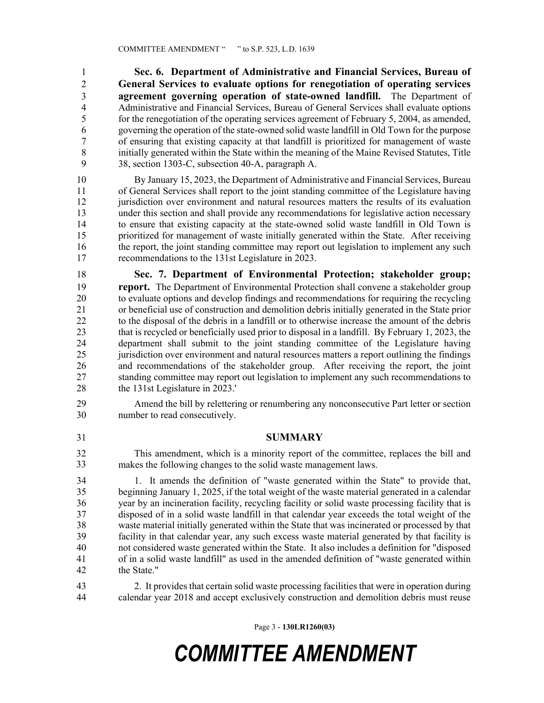1 **Sec. 6. Department of Administrative and Financial Services, Bureau of**  2 **General Services to evaluate options for renegotiation of operating services**  3 **agreement governing operation of state-owned landfill.** The Department of 4 Administrative and Financial Services, Bureau of General Services shall evaluate options 5 for the renegotiation of the operating services agreement of February 5, 2004, as amended, 6 governing the operation of the state-owned solid waste landfill in Old Town for the purpose 7 of ensuring that existing capacity at that landfill is prioritized for management of waste 8 initially generated within the State within the meaning of the Maine Revised Statutes, Title 9 38, section 1303-C, subsection 40-A, paragraph A.

10 By January 15, 2023, the Department of Administrative and Financial Services, Bureau 11 of General Services shall report to the joint standing committee of the Legislature having 12 jurisdiction over environment and natural resources matters the results of its evaluation 13 under this section and shall provide any recommendations for legislative action necessary 14 to ensure that existing capacity at the state-owned solid waste landfill in Old Town is 15 prioritized for management of waste initially generated within the State. After receiving 16 the report, the joint standing committee may report out legislation to implement any such 17 recommendations to the 131st Legislature in 2023.

18 **Sec. 7. Department of Environmental Protection; stakeholder group;**  19 **report.** The Department of Environmental Protection shall convene a stakeholder group 20 to evaluate options and develop findings and recommendations for requiring the recycling 21 or beneficial use of construction and demolition debris initially generated in the State prior 22 to the disposal of the debris in a landfill or to otherwise increase the amount of the debris 23 that is recycled or beneficially used prior to disposal in a landfill. By February 1, 2023, the 24 department shall submit to the joint standing committee of the Legislature having 25 jurisdiction over environment and natural resources matters a report outlining the findings 26 and recommendations of the stakeholder group. After receiving the report, the joint 27 standing committee may report out legislation to implement any such recommendations to 28 the 131st Legislature in 2023.'

29 Amend the bill by relettering or renumbering any nonconsecutive Part letter or section 30 number to read consecutively.

32

33

31 **SUMMARY**

This amendment, which is a minority report of the committee, replaces the bill and makes the following changes to the solid waste management laws.

34 1. It amends the definition of "waste generated within the State" to provide that, 35 beginning January 1, 2025, if the total weight of the waste material generated in a calendar 36 year by an incineration facility, recycling facility or solid waste processing facility that is 37 disposed of in a solid waste landfill in that calendar year exceeds the total weight of the 38 waste material initially generated within the State that was incinerated or processed by that 39 facility in that calendar year, any such excess waste material generated by that facility is 40 not considered waste generated within the State. It also includes a definition for "disposed 41 of in a solid waste landfill" as used in the amended definition of "waste generated within 42 the State."

43 2. It provides that certain solid waste processing facilities that were in operation during 44 calendar year 2018 and accept exclusively construction and demolition debris must reuse

Page 3 - **130LR1260(03)**